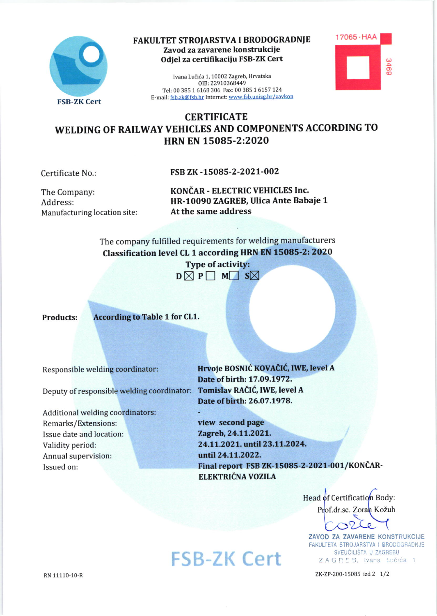

## FAKULTET STROJARSTVA I BRODOGRADNJE Zavod za zavarene konstrukcije Odiel za certifikaciju FSB-ZK Cert

Ivana Lučića 1, 10002 Zagreb, Hrvatska OIB: 22910368449 Tel: 00 385 1 6168 306 Fax: 00 385 1 6157 124 E-mail: fsb.zk@fsb.hr Internet: www.fsb.unizg.hr/zavkon



## **CERTIFICATE** WELDING OF RAILWAY VEHICLES AND COMPONENTS ACCORDING TO HRN EN 15085-2:2020

Certificate No.:

FSB ZK-15085-2-2021-002

The Company: Address: Manufacturing location site: KONČAR - ELECTRIC VEHICLES Inc. HR-10090 ZAGREB, Ulica Ante Babaje 1 At the same address

The company fulfilled requirements for welding manufacturers Classification level CL 1 according HRN EN 15085-2: 2020

> **Type of activity:**  $D \boxtimes P \Box M \Box S \boxtimes$

**Products:** 

**According to Table 1 for CL1.** 

Responsible welding coordinator:

Deputy of responsible welding coordinator:

Additional welding coordinators: Remarks/Extensions: Issue date and location: Validity period: Annual supervision: Issued on:

Hrvoje BOSNIĆ KOVAČIĆ, IWE, level A Date of birth: 17.09.1972. Tomislav RAČIĆ, IWE, level A Date of birth: 26.07.1978.

view second page Zagreb, 24.11.2021. 24.11.2021. until 23.11.2024. until 24.11.2022. Final report FSB ZK-15085-2-2021-001/KONČAR-ELEKTRIČNA VOZILA

Head of Certification Body: Prof.dr.sc. Zoran Kožuh

ZAVOD ZA ZAVARENE KONSTRUKCIJE FAKULTETA STROJARSTVA I BRODOGRADNJE SVEUČILIŠTA U ZAGREBU ZAGREB, Ivana Lučića 1

ZK-ZP-200-15085 izd 2 1/2

**FSB-ZK Cert**